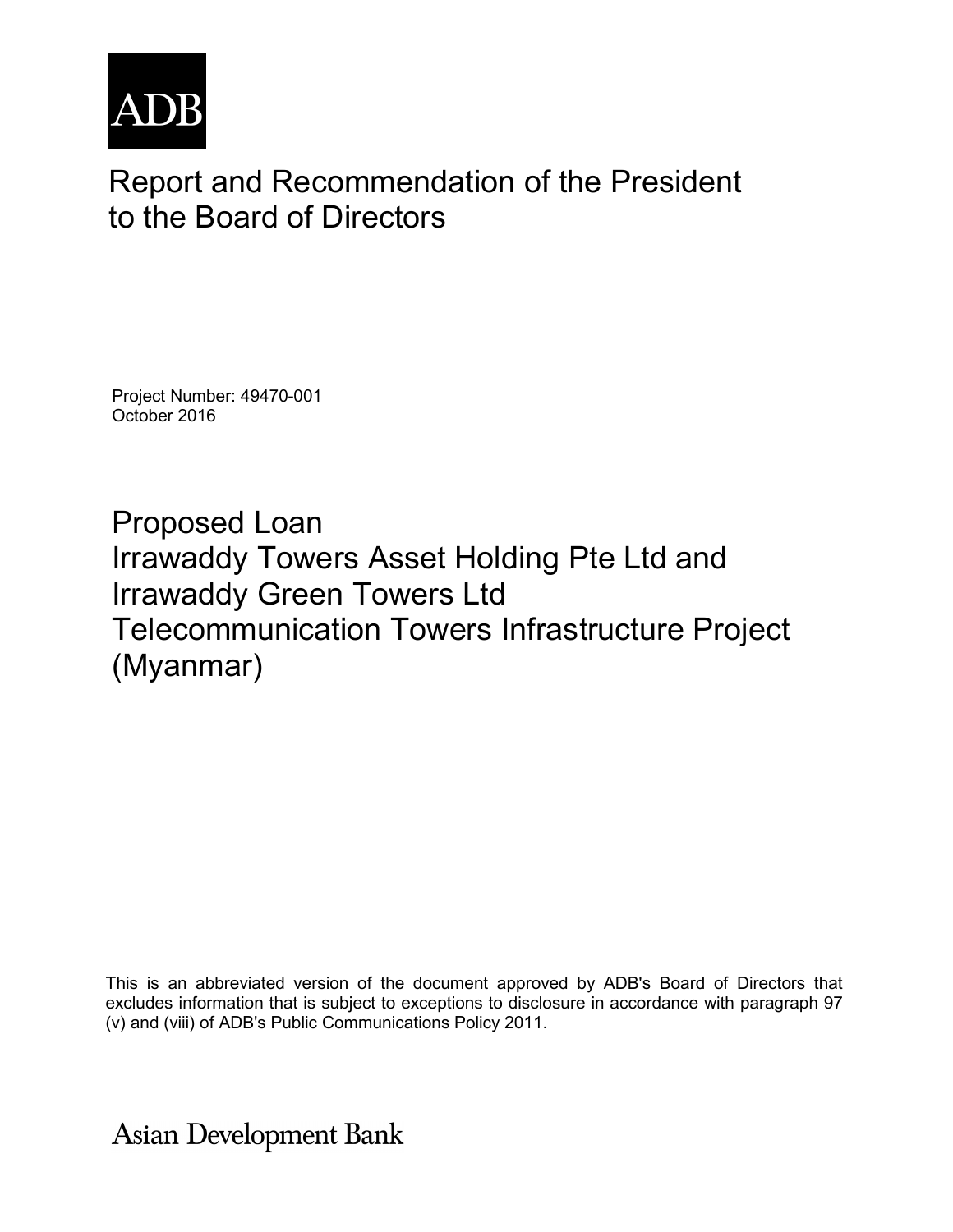

# Report and Recommendation of the President to the Board of Directors

Project Number: 49470-001 October 2016

Proposed Loan Irrawaddy Towers Asset Holding Pte Ltd and Irrawaddy Green Towers Ltd Telecommunication Towers Infrastructure Project (Myanmar)

This is an abbreviated version of the document approved by ADB's Board of Directors that excludes information that is subject to exceptions to disclosure in accordance with paragraph 97 (v) and (viii) of ADB's Public Communications Policy 2011.

**Asian Development Bank**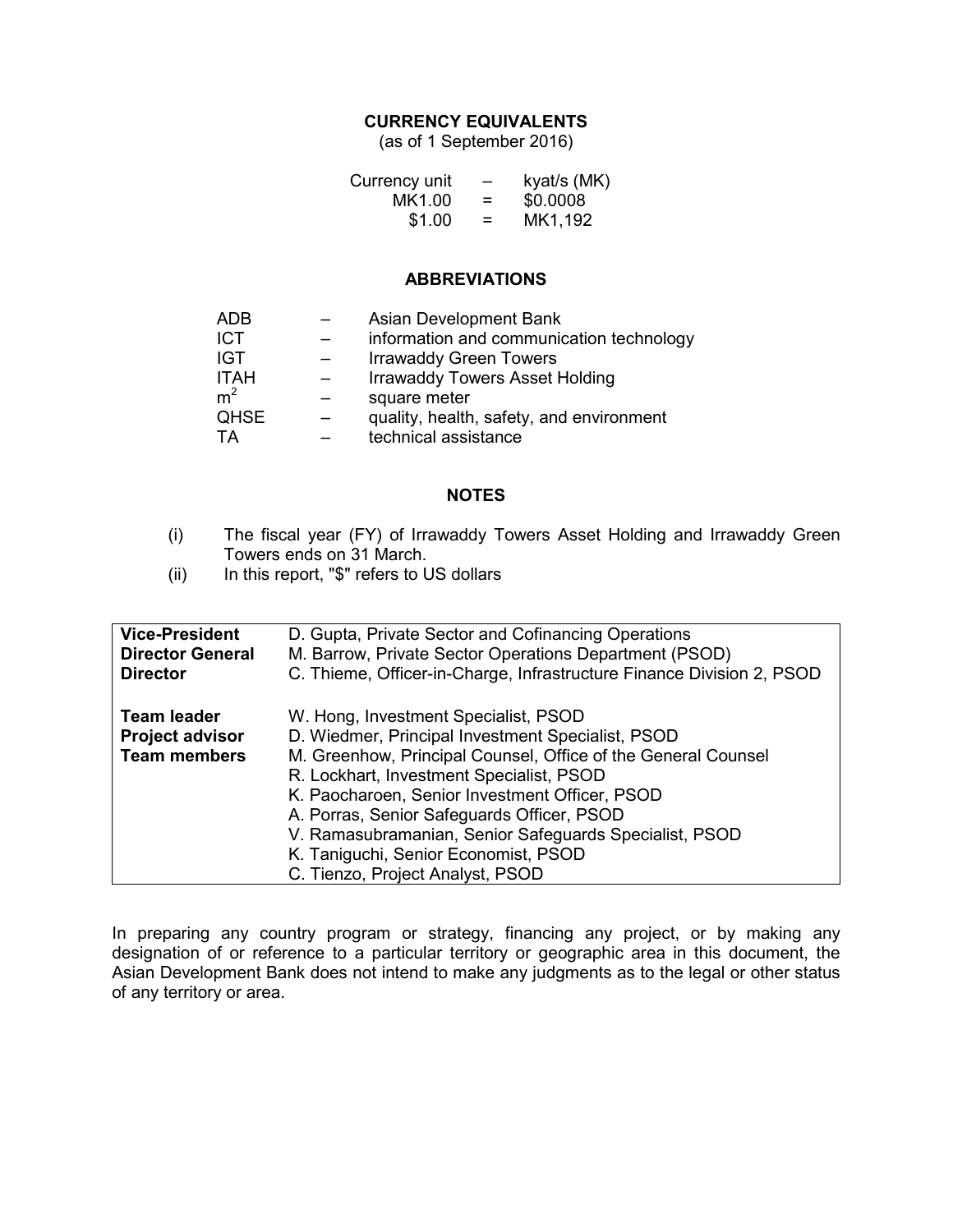#### **CURRENCY EQUIVALENTS**

(as of 1 September 2016)

| Currency unit | -   | kyat/s (MK) |
|---------------|-----|-------------|
| MK1.00        | $=$ | \$0.0008    |
| \$1.00        | $=$ | MK1,192     |

#### **ABBREVIATIONS**

| ADB            | Asian Development Bank                   |
|----------------|------------------------------------------|
| ICT            | information and communication technology |
| IGT            | <b>Irrawaddy Green Towers</b>            |
| <b>ITAH</b>    | <b>Irrawaddy Towers Asset Holding</b>    |
| m <sup>2</sup> | square meter                             |
| <b>QHSE</b>    | quality, health, safety, and environment |
| ТA             | technical assistance                     |
|                |                                          |

#### **NOTES**

- (i) The fiscal year (FY) of Irrawaddy Towers Asset Holding and Irrawaddy Green Towers ends on 31 March.
- (ii) In this report, "\$" refers to US dollars

| <b>Vice-President</b>                                               | D. Gupta, Private Sector and Cofinancing Operations                                                                                                                                                                                                                                                                                                                                                                                          |
|---------------------------------------------------------------------|----------------------------------------------------------------------------------------------------------------------------------------------------------------------------------------------------------------------------------------------------------------------------------------------------------------------------------------------------------------------------------------------------------------------------------------------|
| <b>Director General</b>                                             | M. Barrow, Private Sector Operations Department (PSOD)                                                                                                                                                                                                                                                                                                                                                                                       |
| <b>Director</b>                                                     | C. Thieme, Officer-in-Charge, Infrastructure Finance Division 2, PSOD                                                                                                                                                                                                                                                                                                                                                                        |
| <b>Team leader</b><br><b>Project advisor</b><br><b>Team members</b> | W. Hong, Investment Specialist, PSOD<br>D. Wiedmer, Principal Investment Specialist, PSOD<br>M. Greenhow, Principal Counsel, Office of the General Counsel<br>R. Lockhart, Investment Specialist, PSOD<br>K. Paocharoen, Senior Investment Officer, PSOD<br>A. Porras, Senior Safeguards Officer, PSOD<br>V. Ramasubramanian, Senior Safeguards Specialist, PSOD<br>K. Taniguchi, Senior Economist, PSOD<br>C. Tienzo, Project Analyst, PSOD |

In preparing any country program or strategy, financing any project, or by making any designation of or reference to a particular territory or geographic area in this document, the Asian Development Bank does not intend to make any judgments as to the legal or other status of any territory or area.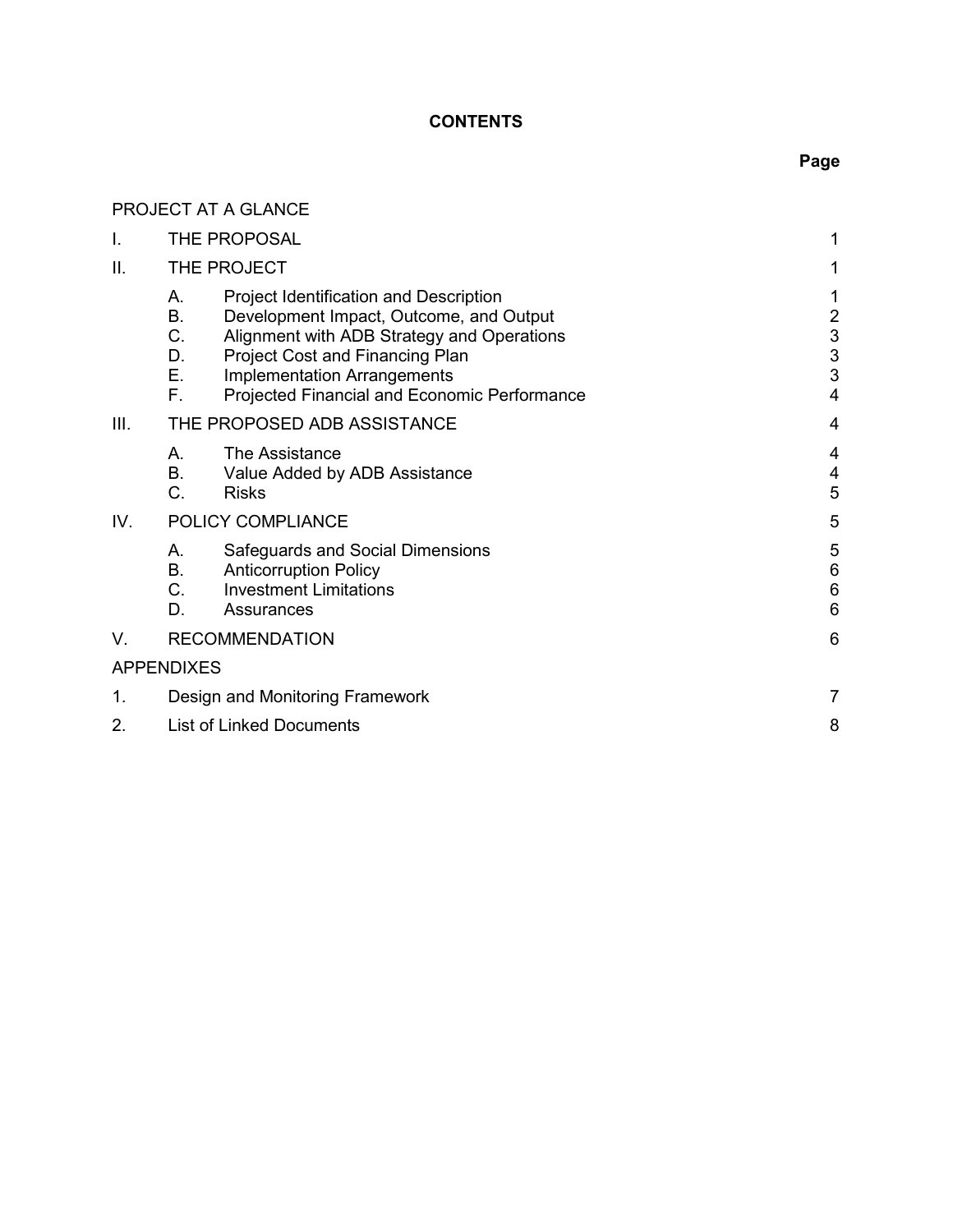# **CONTENTS**

# **Page**

|      | PROJECT AT A GLANCE                                                                                                                                                                                                                                                                          |                                                                   |
|------|----------------------------------------------------------------------------------------------------------------------------------------------------------------------------------------------------------------------------------------------------------------------------------------------|-------------------------------------------------------------------|
| Ι.   | THE PROPOSAL                                                                                                                                                                                                                                                                                 | 1                                                                 |
| ΙΙ.  | THE PROJECT                                                                                                                                                                                                                                                                                  | 1                                                                 |
|      | Project Identification and Description<br>Α.<br>В.<br>Development Impact, Outcome, and Output<br>C.<br>Alignment with ADB Strategy and Operations<br>D.<br>Project Cost and Financing Plan<br>Е.<br><b>Implementation Arrangements</b><br>F.<br>Projected Financial and Economic Performance | 1<br>$\overline{c}$<br>$\begin{array}{c} 3 \\ 3 \end{array}$<br>4 |
| III. | THE PROPOSED ADB ASSISTANCE                                                                                                                                                                                                                                                                  | 4                                                                 |
|      | The Assistance<br>А.<br><b>B.</b><br>Value Added by ADB Assistance<br>C.<br><b>Risks</b>                                                                                                                                                                                                     | 4<br>4<br>5                                                       |
| IV.  | POLICY COMPLIANCE                                                                                                                                                                                                                                                                            | 5                                                                 |
|      | Safeguards and Social Dimensions<br>А.<br>Β.<br><b>Anticorruption Policy</b><br>C <sub>1</sub><br><b>Investment Limitations</b><br>D.<br>Assurances                                                                                                                                          | 5<br>$6\phantom{a}$<br>$6\phantom{1}6$<br>6                       |
| V.   | <b>RECOMMENDATION</b>                                                                                                                                                                                                                                                                        | 6                                                                 |
|      | <b>APPENDIXES</b>                                                                                                                                                                                                                                                                            |                                                                   |
| 1.   | Design and Monitoring Framework                                                                                                                                                                                                                                                              | 7                                                                 |
| 2.   | <b>List of Linked Documents</b>                                                                                                                                                                                                                                                              |                                                                   |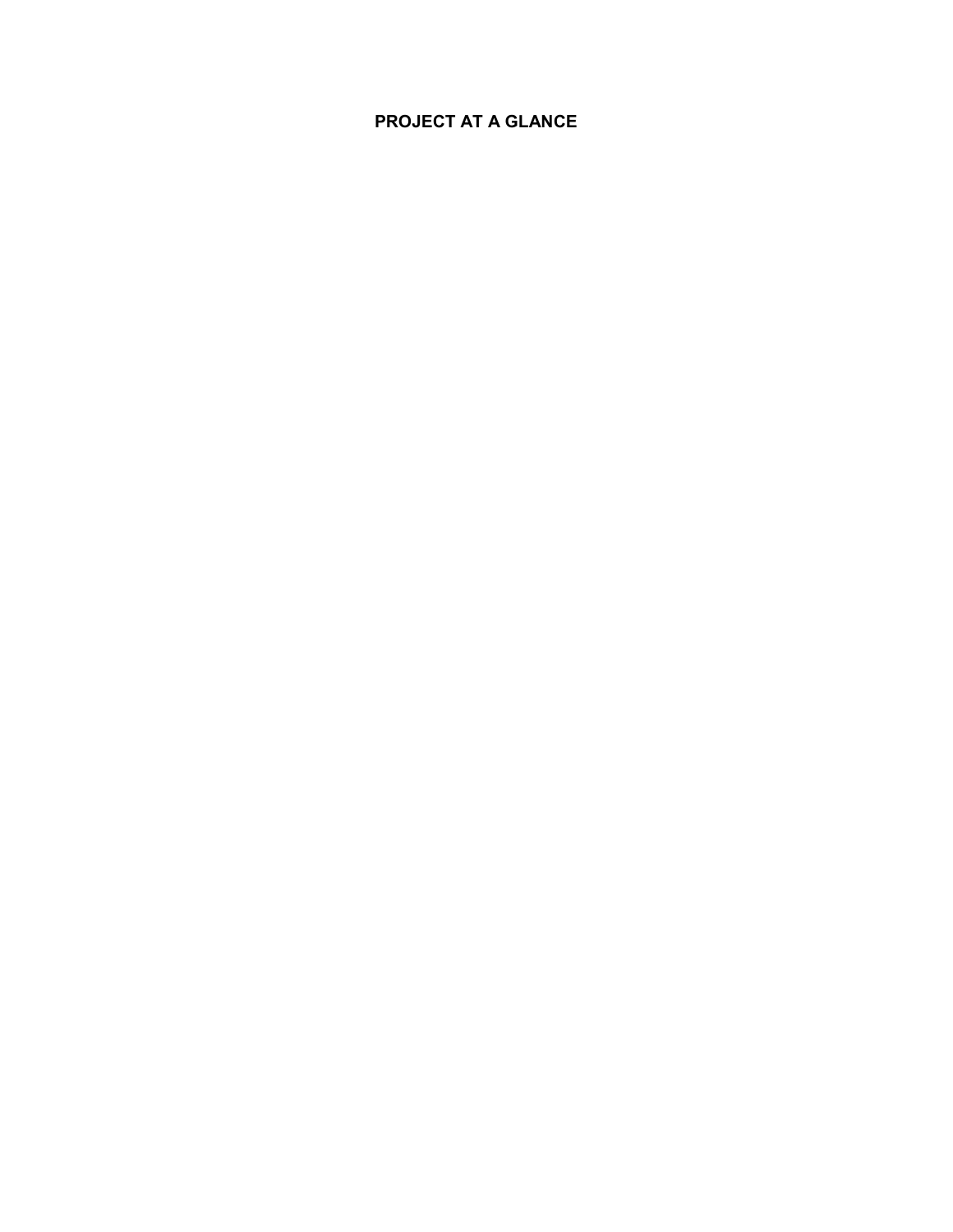# **PROJECT AT A GLANCE**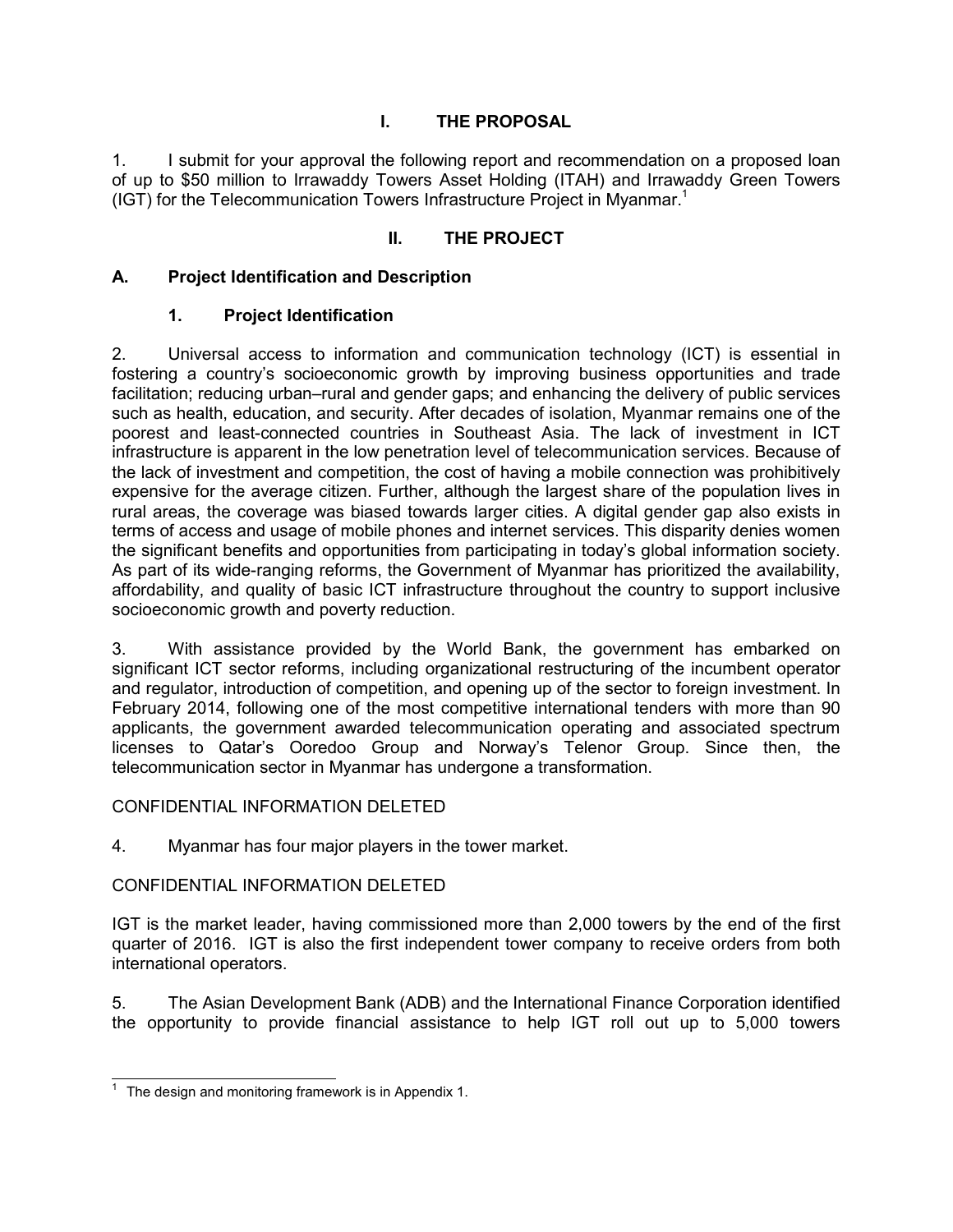# **I. THE PROPOSAL**

1. I submit for your approval the following report and recommendation on a proposed loan of up to \$50 million to Irrawaddy Towers Asset Holding (ITAH) and Irrawaddy Green Towers (IGT) for the Telecommunication Towers Infrastructure Project in Myanmar.<sup>1</sup>

## **II. THE PROJECT**

## **A. Project Identification and Description**

## **1. Project Identification**

2. Universal access to information and communication technology (ICT) is essential in fostering a country's socioeconomic growth by improving business opportunities and trade facilitation; reducing urban–rural and gender gaps; and enhancing the delivery of public services such as health, education, and security. After decades of isolation, Myanmar remains one of the poorest and least-connected countries in Southeast Asia. The lack of investment in ICT infrastructure is apparent in the low penetration level of telecommunication services. Because of the lack of investment and competition, the cost of having a mobile connection was prohibitively expensive for the average citizen. Further, although the largest share of the population lives in rural areas, the coverage was biased towards larger cities. A digital gender gap also exists in terms of access and usage of mobile phones and internet services. This disparity denies women the significant benefits and opportunities from participating in today's global information society. As part of its wide-ranging reforms, the Government of Myanmar has prioritized the availability, affordability, and quality of basic ICT infrastructure throughout the country to support inclusive socioeconomic growth and poverty reduction.

3. With assistance provided by the World Bank, the government has embarked on significant ICT sector reforms, including organizational restructuring of the incumbent operator and regulator, introduction of competition, and opening up of the sector to foreign investment. In February 2014, following one of the most competitive international tenders with more than 90 applicants, the government awarded telecommunication operating and associated spectrum licenses to Qatar's Ooredoo Group and Norway's Telenor Group. Since then, the telecommunication sector in Myanmar has undergone a transformation.

#### CONFIDENTIAL INFORMATION DELETED

4. Myanmar has four major players in the tower market.

## CONFIDENTIAL INFORMATION DELETED

IGT is the market leader, having commissioned more than 2,000 towers by the end of the first quarter of 2016. IGT is also the first independent tower company to receive orders from both international operators.

5. The Asian Development Bank (ADB) and the International Finance Corporation identified the opportunity to provide financial assistance to help IGT roll out up to 5,000 towers

 $\frac{1}{1}$  The design and monitoring framework is in Appendix 1.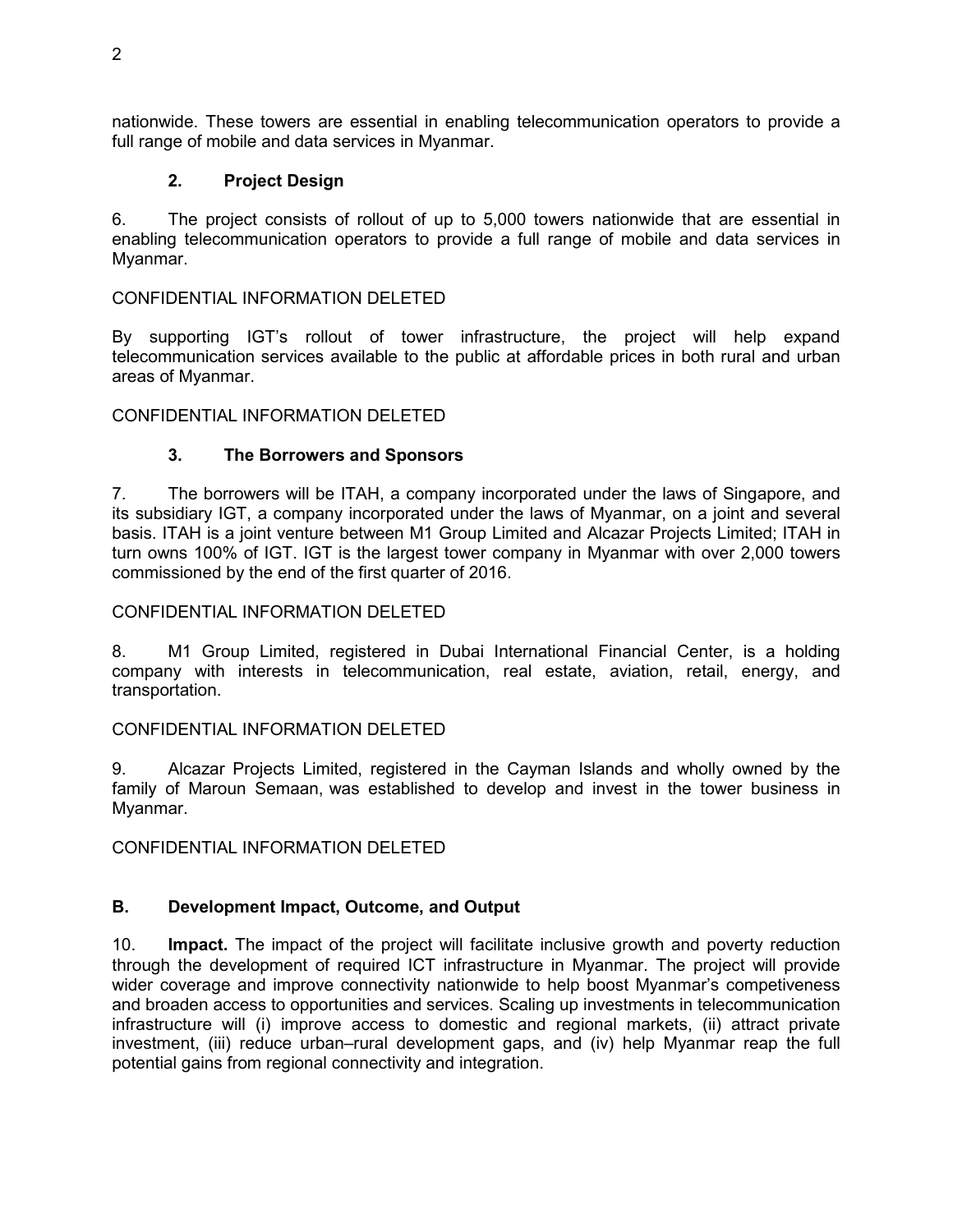nationwide. These towers are essential in enabling telecommunication operators to provide a full range of mobile and data services in Myanmar.

## **2. Project Design**

6. The project consists of rollout of up to 5,000 towers nationwide that are essential in enabling telecommunication operators to provide a full range of mobile and data services in Myanmar.

#### CONFIDENTIAL INFORMATION DELETED

By supporting IGT's rollout of tower infrastructure, the project will help expand telecommunication services available to the public at affordable prices in both rural and urban areas of Myanmar.

#### CONFIDENTIAL INFORMATION DELETED

#### **3. The Borrowers and Sponsors**

7. The borrowers will be ITAH, a company incorporated under the laws of Singapore, and its subsidiary IGT, a company incorporated under the laws of Myanmar, on a joint and several basis. ITAH is a joint venture between M1 Group Limited and Alcazar Projects Limited; ITAH in turn owns 100% of IGT. IGT is the largest tower company in Myanmar with over 2,000 towers commissioned by the end of the first quarter of 2016.

#### CONFIDENTIAL INFORMATION DELETED

8. M1 Group Limited, registered in Dubai International Financial Center, is a holding company with interests in telecommunication, real estate, aviation, retail, energy, and transportation.

#### CONFIDENTIAL INFORMATION DELETED

9. Alcazar Projects Limited, registered in the Cayman Islands and wholly owned by the family of Maroun Semaan, was established to develop and invest in the tower business in Myanmar.

CONFIDENTIAL INFORMATION DELETED

#### **B. Development Impact, Outcome, and Output**

10. **Impact.** The impact of the project will facilitate inclusive growth and poverty reduction through the development of required ICT infrastructure in Myanmar. The project will provide wider coverage and improve connectivity nationwide to help boost Myanmar's competiveness and broaden access to opportunities and services. Scaling up investments in telecommunication infrastructure will (i) improve access to domestic and regional markets, (ii) attract private investment, (iii) reduce urban–rural development gaps, and (iv) help Myanmar reap the full potential gains from regional connectivity and integration.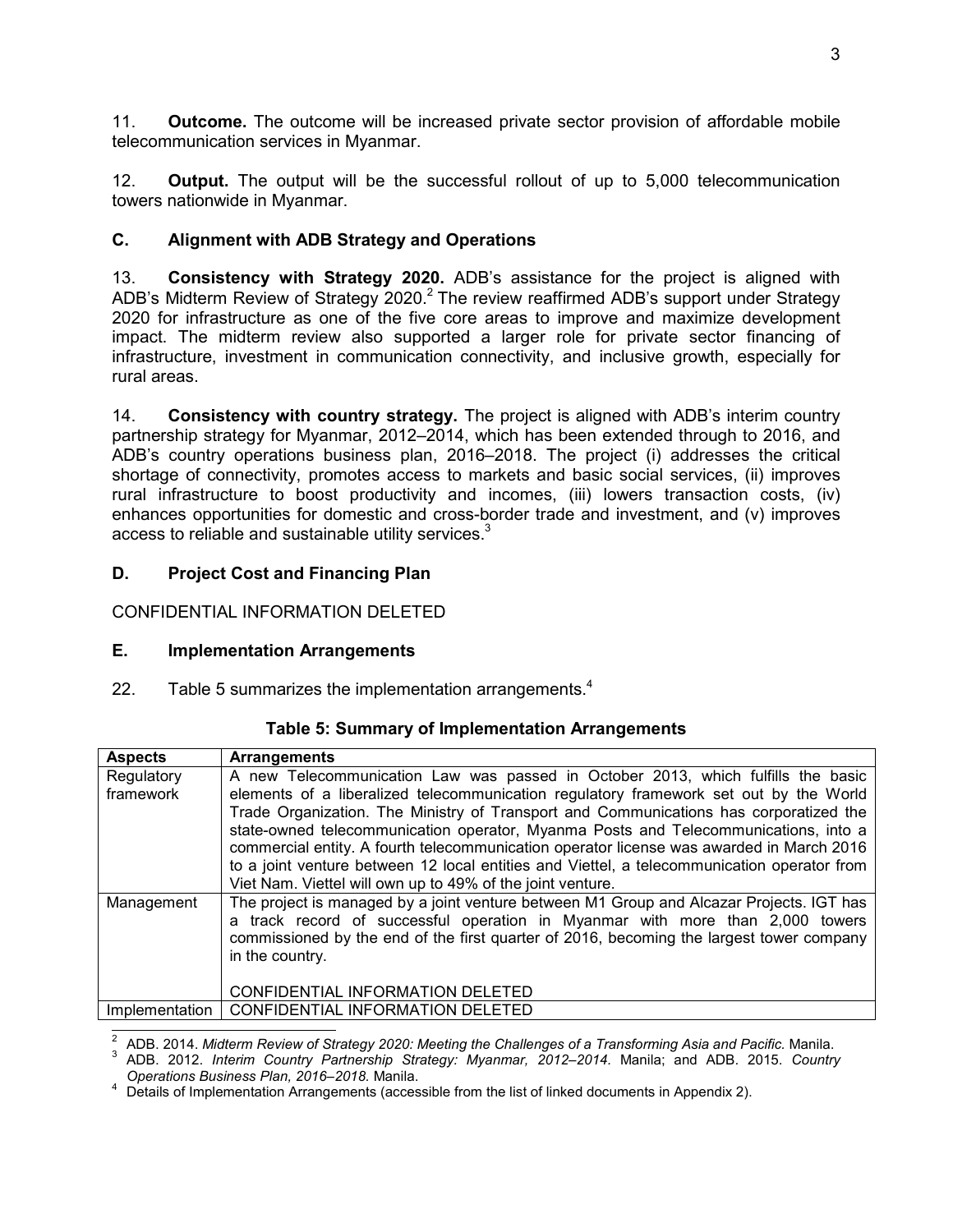11. **Outcome.** The outcome will be increased private sector provision of affordable mobile telecommunication services in Myanmar.

12. **Output.** The output will be the successful rollout of up to 5,000 telecommunication towers nationwide in Myanmar.

# **C. Alignment with ADB Strategy and Operations**

13. **Consistency with Strategy 2020.** ADB's assistance for the project is aligned with ADB's Midterm Review of Strategy 2020.<sup>2</sup> The review reaffirmed ADB's support under Strategy 2020 for infrastructure as one of the five core areas to improve and maximize development impact. The midterm review also supported a larger role for private sector financing of infrastructure, investment in communication connectivity, and inclusive growth, especially for rural areas.

14. **Consistency with country strategy.** The project is aligned with ADB's interim country partnership strategy for Myanmar, 2012–2014, which has been extended through to 2016, and ADB's country operations business plan, 2016–2018. The project (i) addresses the critical shortage of connectivity, promotes access to markets and basic social services, (ii) improves rural infrastructure to boost productivity and incomes, (iii) lowers transaction costs, (iv) enhances opportunities for domestic and cross-border trade and investment, and (v) improves access to reliable and sustainable utility services. $3$ 

# **D. Project Cost and Financing Plan**

CONFIDENTIAL INFORMATION DELETED

## **E. Implementation Arrangements**

22. Table 5 summarizes the implementation arrangements.<sup>4</sup>

| <b>Aspects</b> | <b>Arrangements</b>                                                                                                                                                                                                                                                                      |  |  |
|----------------|------------------------------------------------------------------------------------------------------------------------------------------------------------------------------------------------------------------------------------------------------------------------------------------|--|--|
| Regulatory     | A new Telecommunication Law was passed in October 2013, which fulfills the basic                                                                                                                                                                                                         |  |  |
| framework      | elements of a liberalized telecommunication regulatory framework set out by the World                                                                                                                                                                                                    |  |  |
|                | Trade Organization. The Ministry of Transport and Communications has corporatized the                                                                                                                                                                                                    |  |  |
|                | state-owned telecommunication operator, Myanma Posts and Telecommunications, into a                                                                                                                                                                                                      |  |  |
|                | commercial entity. A fourth telecommunication operator license was awarded in March 2016                                                                                                                                                                                                 |  |  |
|                | to a joint venture between 12 local entities and Viettel, a telecommunication operator from                                                                                                                                                                                              |  |  |
|                | Viet Nam. Viettel will own up to 49% of the joint venture.                                                                                                                                                                                                                               |  |  |
| Management     | The project is managed by a joint venture between M1 Group and Alcazar Projects. IGT has<br>a track record of successful operation in Myanmar with more than 2,000 towers<br>commissioned by the end of the first quarter of 2016, becoming the largest tower company<br>in the country. |  |  |
|                | CONFIDENTIAL INFORMATION DELETED                                                                                                                                                                                                                                                         |  |  |
| Implementation | CONFIDENTIAL INFORMATION DELETED                                                                                                                                                                                                                                                         |  |  |

## **Table 5: Summary of Implementation Arrangements**

<u>2</u><br>2 ADB. 2014. Midterm Review of Strategy 2020: Meeting the Challenges of a Transforming Asia and Pacific. Manila.<br>3 ADB. 2012. Interim Country Pertecephin, Strategy: Myonmer, 2012, 2014. Manilau and ADB. 2015. Countri

 ADB. 2012. *Interim Country Partnership Strategy: Myanmar, 2012–2014.* Manila; and ADB. 2015. *Country Operations Business Plan, 2016–2018.* Manila.

<sup>4</sup> Details of Implementation Arrangements (accessible from the list of linked documents in Appendix 2).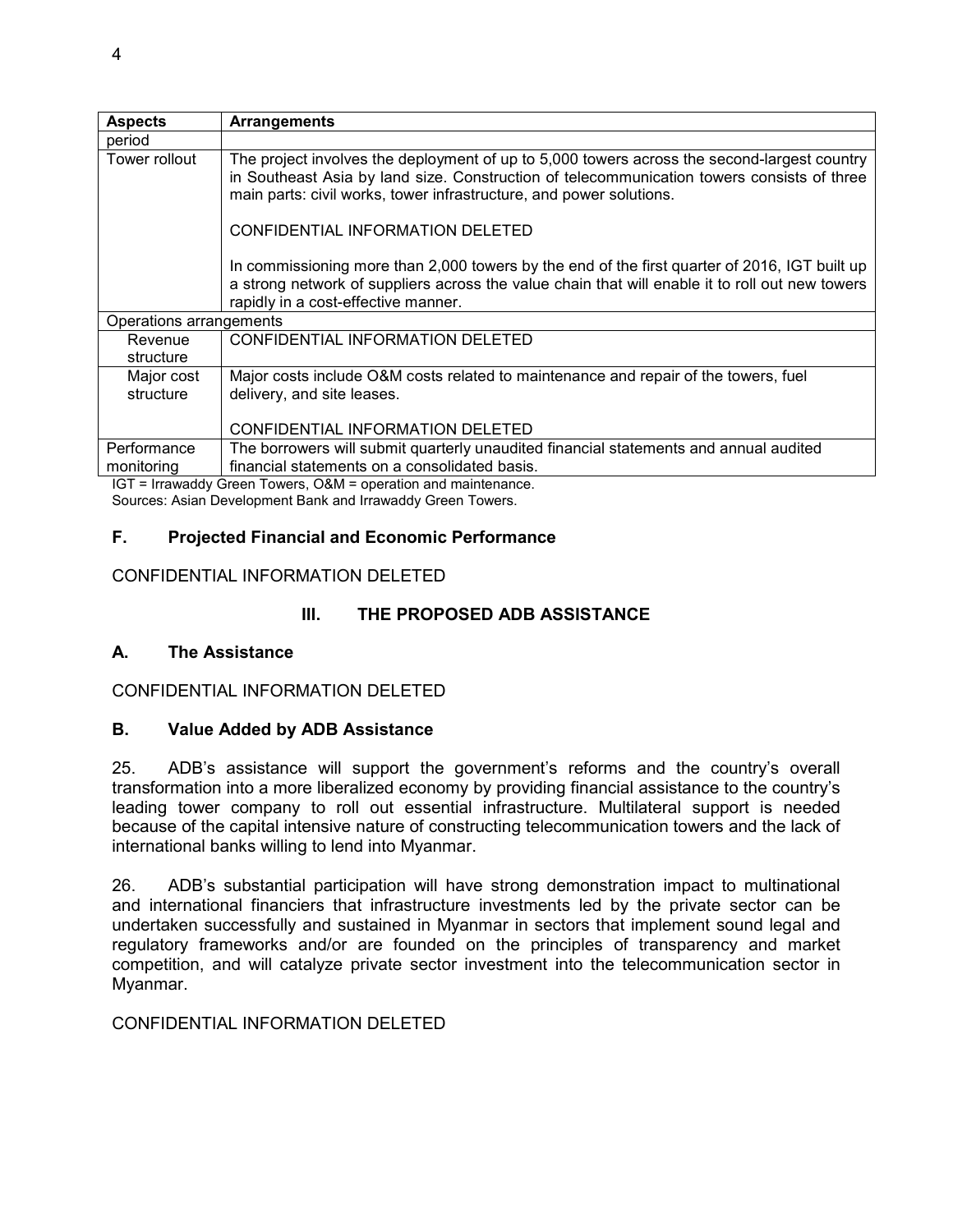| <b>Aspects</b>          | <b>Arrangements</b>                                                                                                                                                                                                                                              |
|-------------------------|------------------------------------------------------------------------------------------------------------------------------------------------------------------------------------------------------------------------------------------------------------------|
| period                  |                                                                                                                                                                                                                                                                  |
| Tower rollout           | The project involves the deployment of up to 5,000 towers across the second-largest country<br>in Southeast Asia by land size. Construction of telecommunication towers consists of three<br>main parts: civil works, tower infrastructure, and power solutions. |
|                         | CONFIDENTIAL INFORMATION DELETED                                                                                                                                                                                                                                 |
|                         | In commissioning more than 2,000 towers by the end of the first quarter of 2016, IGT built up<br>a strong network of suppliers across the value chain that will enable it to roll out new towers<br>rapidly in a cost-effective manner.                          |
| Operations arrangements |                                                                                                                                                                                                                                                                  |
| Revenue<br>structure    | CONFIDENTIAL INFORMATION DELETED                                                                                                                                                                                                                                 |
| Major cost<br>structure | Major costs include O&M costs related to maintenance and repair of the towers, fuel<br>delivery, and site leases.                                                                                                                                                |
|                         | CONFIDENTIAL INFORMATION DELETED                                                                                                                                                                                                                                 |
| Performance             | The borrowers will submit quarterly unaudited financial statements and annual audited                                                                                                                                                                            |
| monitoring              | financial statements on a consolidated basis.<br>$ICT = [rrouodd]$ $C_{\text{recon}}$ $Touers$ $\bigcap 0M =$ anaration and maintenance                                                                                                                          |

IGT = Irrawaddy Green Towers, O&M = operation and maintenance. Sources: Asian Development Bank and Irrawaddy Green Towers.

## **F. Projected Financial and Economic Performance**

## CONFIDENTIAL INFORMATION DELETED

## **III. THE PROPOSED ADB ASSISTANCE**

#### **A. The Assistance**

CONFIDENTIAL INFORMATION DELETED

#### **B. Value Added by ADB Assistance**

25. ADB's assistance will support the government's reforms and the country's overall transformation into a more liberalized economy by providing financial assistance to the country's leading tower company to roll out essential infrastructure. Multilateral support is needed because of the capital intensive nature of constructing telecommunication towers and the lack of international banks willing to lend into Myanmar.

26. ADB's substantial participation will have strong demonstration impact to multinational and international financiers that infrastructure investments led by the private sector can be undertaken successfully and sustained in Myanmar in sectors that implement sound legal and regulatory frameworks and/or are founded on the principles of transparency and market competition, and will catalyze private sector investment into the telecommunication sector in Myanmar.

#### CONFIDENTIAL INFORMATION DELETED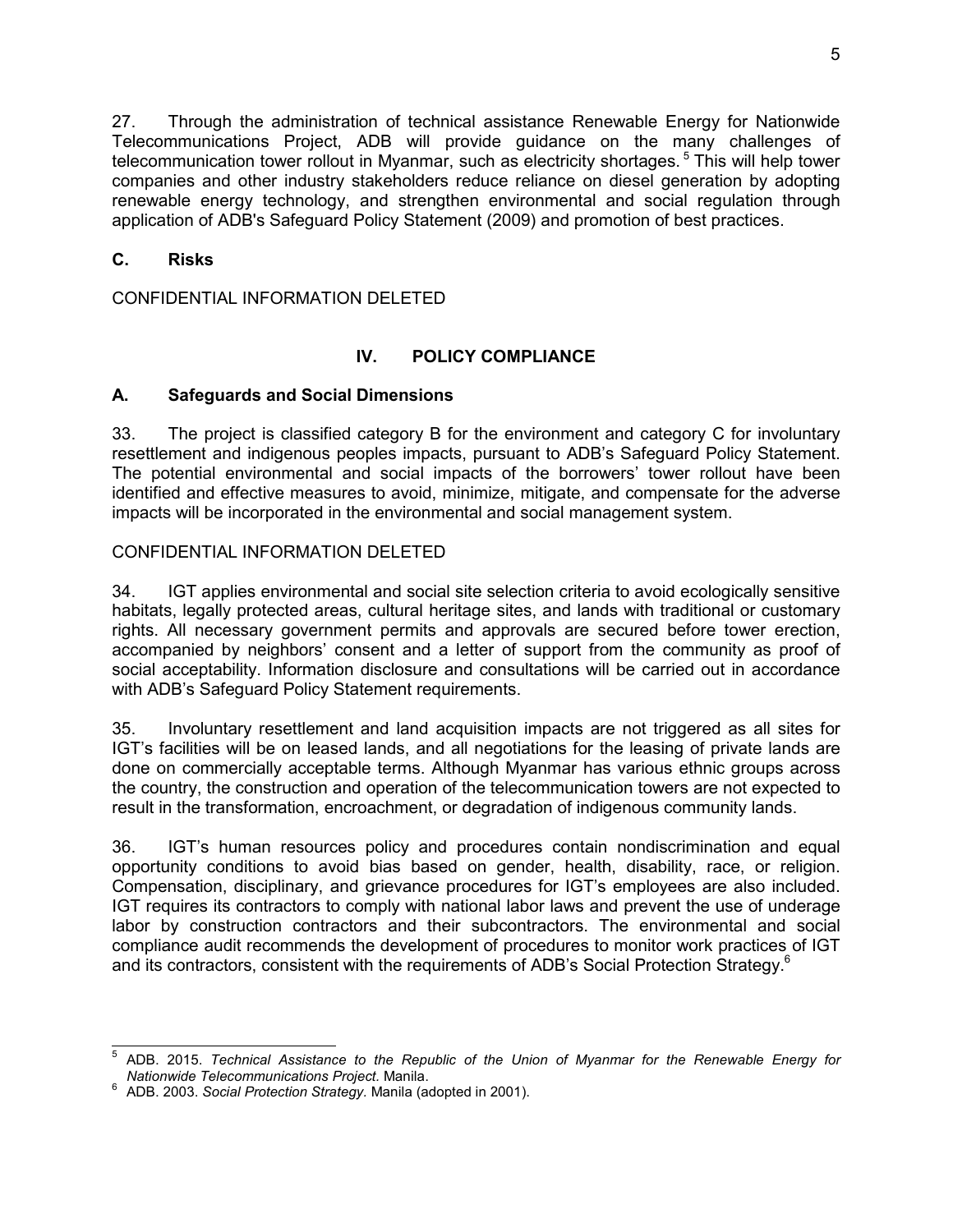27. Through the administration of technical assistance Renewable Energy for Nationwide Telecommunications Project, ADB will provide guidance on the many challenges of telecommunication tower rollout in Myanmar, such as electricity shortages.<sup>5</sup> This will help tower companies and other industry stakeholders reduce reliance on diesel generation by adopting renewable energy technology, and strengthen environmental and social regulation through application of ADB's Safeguard Policy Statement (2009) and promotion of best practices.

## **C. Risks**

CONFIDENTIAL INFORMATION DELETED

## **IV. POLICY COMPLIANCE**

#### **A. Safeguards and Social Dimensions**

33. The project is classified category B for the environment and category C for involuntary resettlement and indigenous peoples impacts, pursuant to ADB's Safeguard Policy Statement. The potential environmental and social impacts of the borrowers' tower rollout have been identified and effective measures to avoid, minimize, mitigate, and compensate for the adverse impacts will be incorporated in the environmental and social management system.

#### CONFIDENTIAL INFORMATION DELETED

34. IGT applies environmental and social site selection criteria to avoid ecologically sensitive habitats, legally protected areas, cultural heritage sites, and lands with traditional or customary rights. All necessary government permits and approvals are secured before tower erection, accompanied by neighbors' consent and a letter of support from the community as proof of social acceptability. Information disclosure and consultations will be carried out in accordance with ADB's Safeguard Policy Statement requirements.

35. Involuntary resettlement and land acquisition impacts are not triggered as all sites for IGT's facilities will be on leased lands, and all negotiations for the leasing of private lands are done on commercially acceptable terms. Although Myanmar has various ethnic groups across the country, the construction and operation of the telecommunication towers are not expected to result in the transformation, encroachment, or degradation of indigenous community lands.

36. IGT's human resources policy and procedures contain nondiscrimination and equal opportunity conditions to avoid bias based on gender, health, disability, race, or religion. Compensation, disciplinary, and grievance procedures for IGT's employees are also included. IGT requires its contractors to comply with national labor laws and prevent the use of underage labor by construction contractors and their subcontractors. The environmental and social compliance audit recommends the development of procedures to monitor work practices of IGT and its contractors, consistent with the requirements of ADB's Social Protection Strategy.<sup>6</sup>

 $\overline{\phantom{a}}$ 5 ADB. 2015. *Technical Assistance to the Republic of the Union of Myanmar for the Renewable Energy for Nationwide Telecommunications Project.* Manila.

<sup>6</sup> ADB. 2003. *Social Protection Strategy.* Manila (adopted in 2001).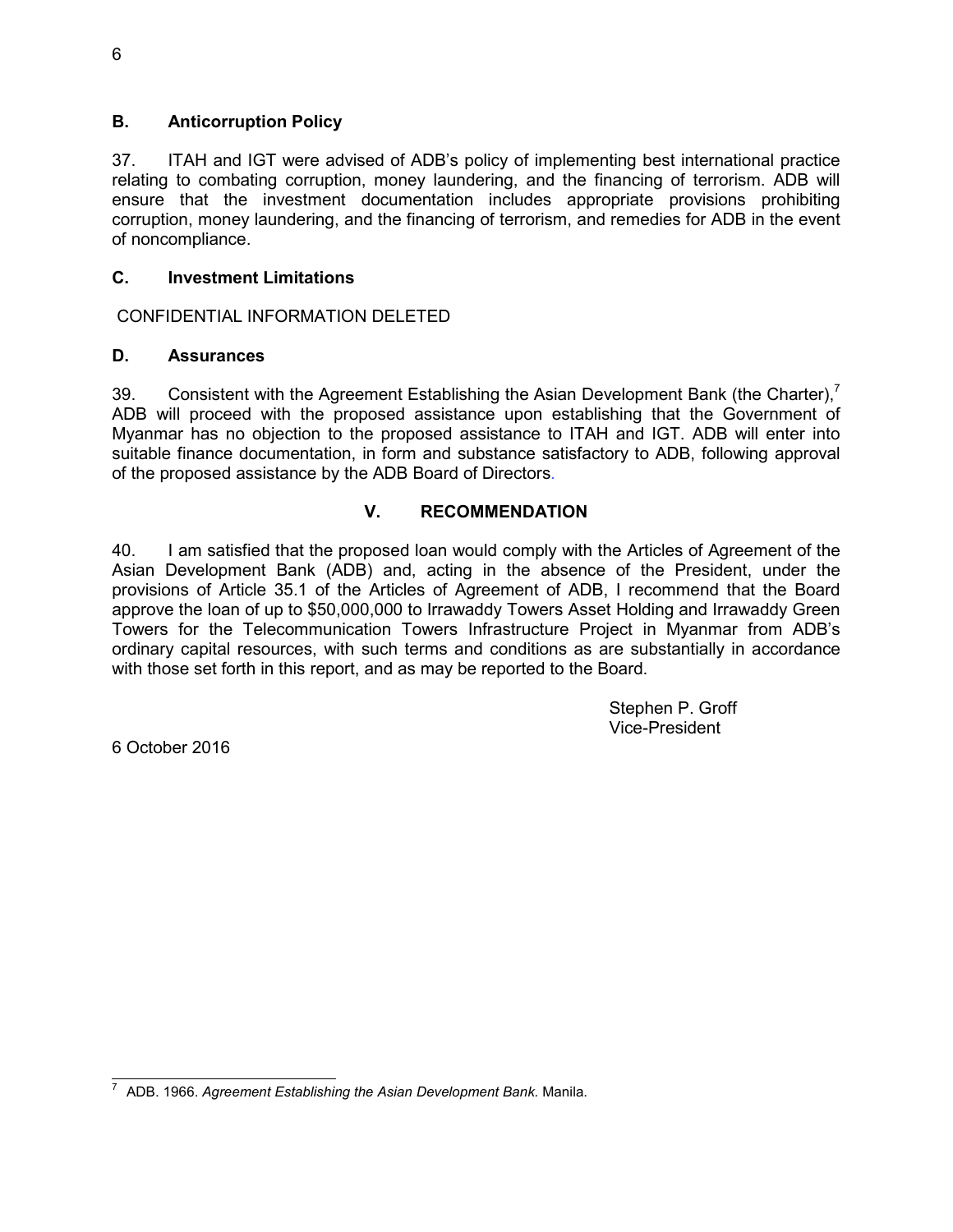## **B. Anticorruption Policy**

37. ITAH and IGT were advised of ADB's policy of implementing best international practice relating to combating corruption, money laundering, and the financing of terrorism. ADB will ensure that the investment documentation includes appropriate provisions prohibiting corruption, money laundering, and the financing of terrorism, and remedies for ADB in the event of noncompliance.

## **C. Investment Limitations**

CONFIDENTIAL INFORMATION DELETED

## **D. Assurances**

39. Consistent with the Agreement Establishing the Asian Development Bank (the Charter).<sup>7</sup> ADB will proceed with the proposed assistance upon establishing that the Government of Myanmar has no objection to the proposed assistance to ITAH and IGT. ADB will enter into suitable finance documentation, in form and substance satisfactory to ADB, following approval of the proposed assistance by the ADB Board of Directors.

## **V. RECOMMENDATION**

40. I am satisfied that the proposed loan would comply with the Articles of Agreement of the Asian Development Bank (ADB) and, acting in the absence of the President, under the provisions of Article 35.1 of the Articles of Agreement of ADB, I recommend that the Board approve the loan of up to \$50,000,000 to Irrawaddy Towers Asset Holding and Irrawaddy Green Towers for the Telecommunication Towers Infrastructure Project in Myanmar from ADB's ordinary capital resources, with such terms and conditions as are substantially in accordance with those set forth in this report, and as may be reported to the Board.

> Stephen P. Groff Vice-President

6 October 2016

 7 ADB. 1966. *Agreement Establishing the Asian Development Bank.* Manila.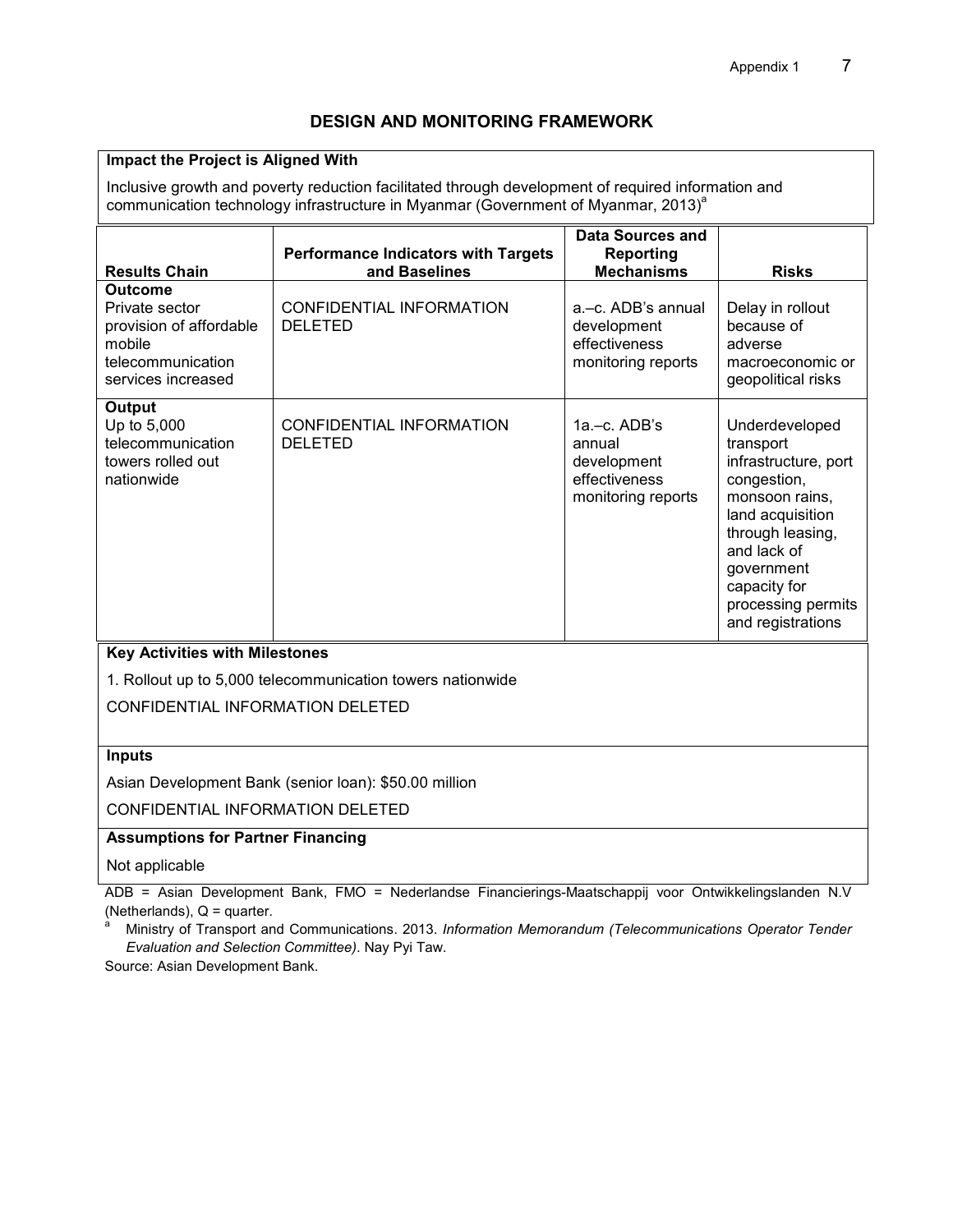#### **DESIGN AND MONITORING FRAMEWORK**

#### **Impact the Project is Aligned With**

Inclusive growth and poverty reduction facilitated through development of required information and communication technology infrastructure in Myanmar (Government of Myanmar, 2013)<sup>a</sup>

|                                                                                                                  |                                                             | <b>Data Sources and</b>                                                          |                                                                                                                                                                                                                      |
|------------------------------------------------------------------------------------------------------------------|-------------------------------------------------------------|----------------------------------------------------------------------------------|----------------------------------------------------------------------------------------------------------------------------------------------------------------------------------------------------------------------|
| <b>Results Chain</b>                                                                                             | <b>Performance Indicators with Targets</b><br>and Baselines | <b>Reporting</b><br><b>Mechanisms</b>                                            | <b>Risks</b>                                                                                                                                                                                                         |
| <b>Outcome</b><br>Private sector<br>provision of affordable<br>mobile<br>telecommunication<br>services increased | CONFIDENTIAL INFORMATION<br><b>DELETED</b>                  | a.-c. ADB's annual<br>development<br>effectiveness<br>monitoring reports         | Delay in rollout<br>because of<br>adverse<br>macroeconomic or<br>geopolitical risks                                                                                                                                  |
| Output<br>Up to 5,000<br>telecommunication<br>towers rolled out<br>nationwide                                    | CONFIDENTIAL INFORMATION<br><b>DELETED</b>                  | $1a - c$ . ADB's<br>annual<br>development<br>effectiveness<br>monitoring reports | Underdeveloped<br>transport<br>infrastructure, port<br>congestion,<br>monsoon rains,<br>land acquisition<br>through leasing,<br>and lack of<br>government<br>capacity for<br>processing permits<br>and registrations |

#### **Key Activities with Milestones**

1. Rollout up to 5,000 telecommunication towers nationwide

CONFIDENTIAL INFORMATION DELETED

#### **Inputs**

Asian Development Bank (senior loan): \$50.00 million

CONFIDENTIAL INFORMATION DELETED

#### **Assumptions for Partner Financing**

#### Not applicable

ADB = Asian Development Bank, FMO = Nederlandse Financierings-Maatschappij voor Ontwikkelingslanden N.V (Netherlands),  $Q =$  quarter.

a Ministry of Transport and Communications. 2013. *Information Memorandum (Telecommunications Operator Tender Evaluation and Selection Committee)*. Nay Pyi Taw.

Source: Asian Development Bank.